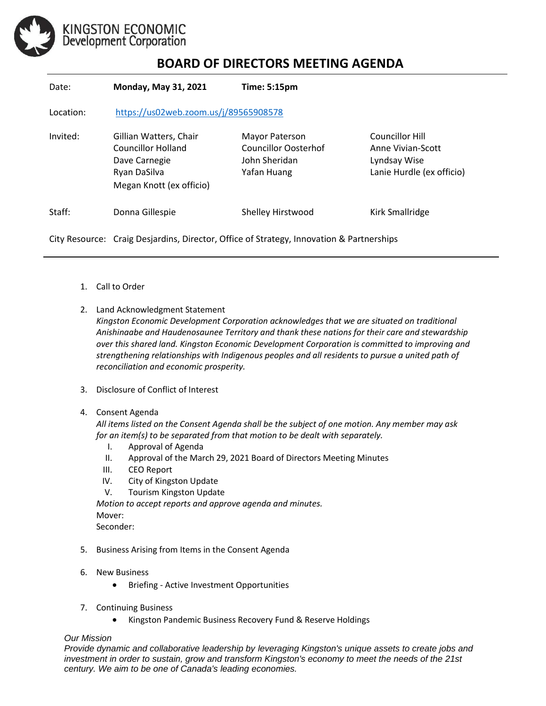

## **BOARD OF DIRECTORS MEETING AGENDA**

| Date:     | Monday, May 31, 2021                                                                                             | <b>Time: 5:15pm</b>                                                           |                                                                                   |
|-----------|------------------------------------------------------------------------------------------------------------------|-------------------------------------------------------------------------------|-----------------------------------------------------------------------------------|
| Location: | https://us02web.zoom.us/j/89565908578                                                                            |                                                                               |                                                                                   |
| Invited:  | Gillian Watters, Chair<br><b>Councillor Holland</b><br>Dave Carnegie<br>Ryan DaSilva<br>Megan Knott (ex officio) | Mayor Paterson<br><b>Councillor Oosterhof</b><br>John Sheridan<br>Yafan Huang | Councillor Hill<br>Anne Vivian-Scott<br>Lyndsay Wise<br>Lanie Hurdle (ex officio) |
| Staff:    | Donna Gillespie                                                                                                  | Shelley Hirstwood                                                             | Kirk Smallridge                                                                   |
|           | City Resource: Craig Desjardins, Director, Office of Strategy, Innovation & Partnerships                         |                                                                               |                                                                                   |

- 1. Call to Order
- 2. Land Acknowledgment Statement
	- *Kingston Economic Development Corporation acknowledges that we are situated on traditional Anishinaabe and Haudenosaunee Territory and thank these nations for their care and stewardship over this shared land. Kingston Economic Development Corporation is committed to improving and strengthening relationships with Indigenous peoples and all residents to pursue a united path of reconciliation and economic prosperity.*
- 3. Disclosure of Conflict of Interest
- 4. Consent Agenda

*All items listed on the Consent Agenda shall be the subject of one motion. Any member may ask for an item(s) to be separated from that motion to be dealt with separately.*

- I. Approval of Agenda
- II. Approval of the March 29, 2021 Board of Directors Meeting Minutes
- III. CEO Report
- IV. City of Kingston Update
- V. Tourism Kingston Update

*Motion to accept reports and approve agenda and minutes.*  Mover: Seconder:

- 5. Business Arising from Items in the Consent Agenda
- 6. New Business
	- Briefing Active Investment Opportunities
- 7. Continuing Business
	- Kingston Pandemic Business Recovery Fund & Reserve Holdings

## *Our Mission*

*Provide dynamic and collaborative leadership by leveraging Kingston's unique assets to create jobs and investment in order to sustain, grow and transform Kingston's economy to meet the needs of the 21st century. We aim to be one of Canada's leading economies.*